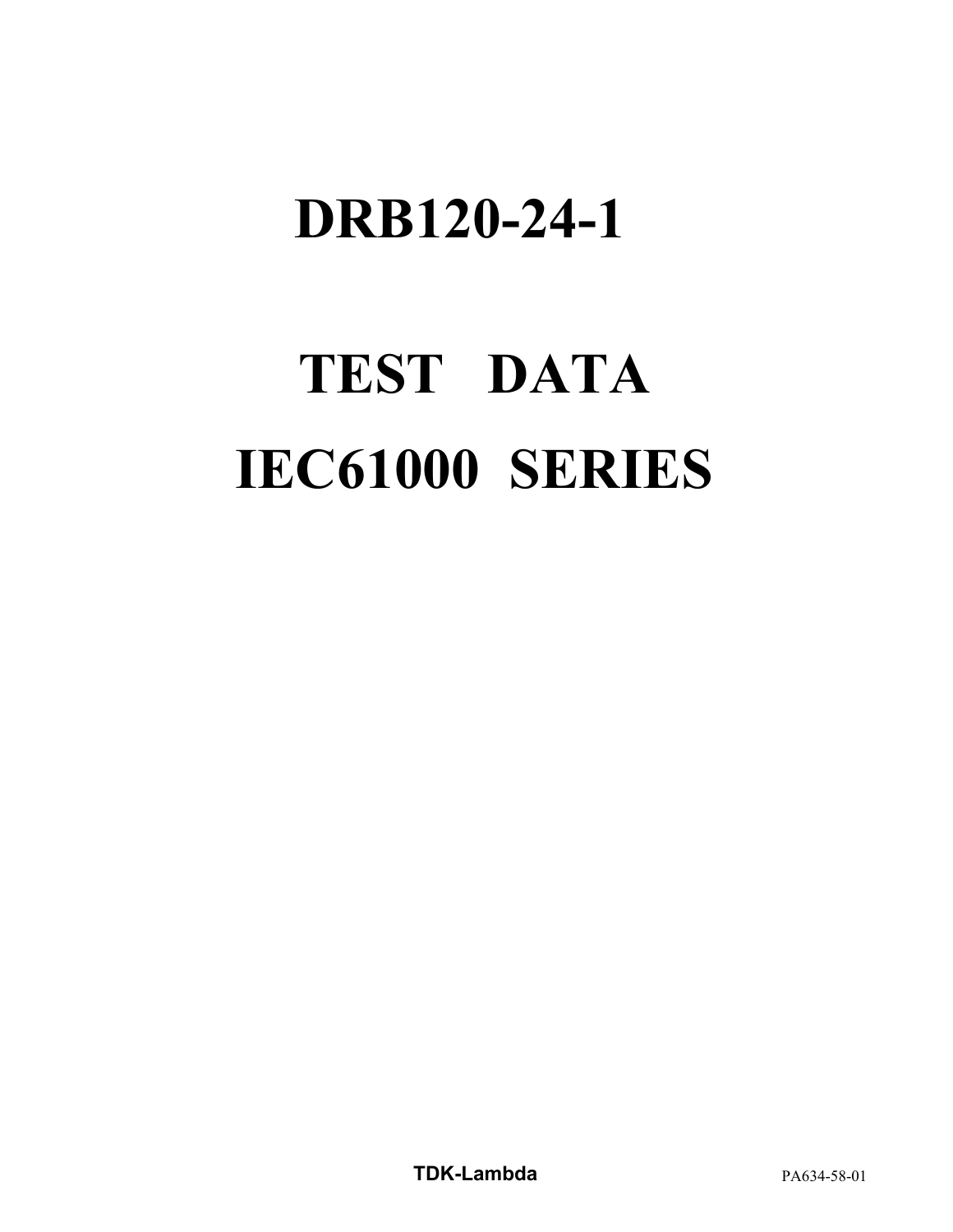# **TEST DATA IEC61000 SERIES**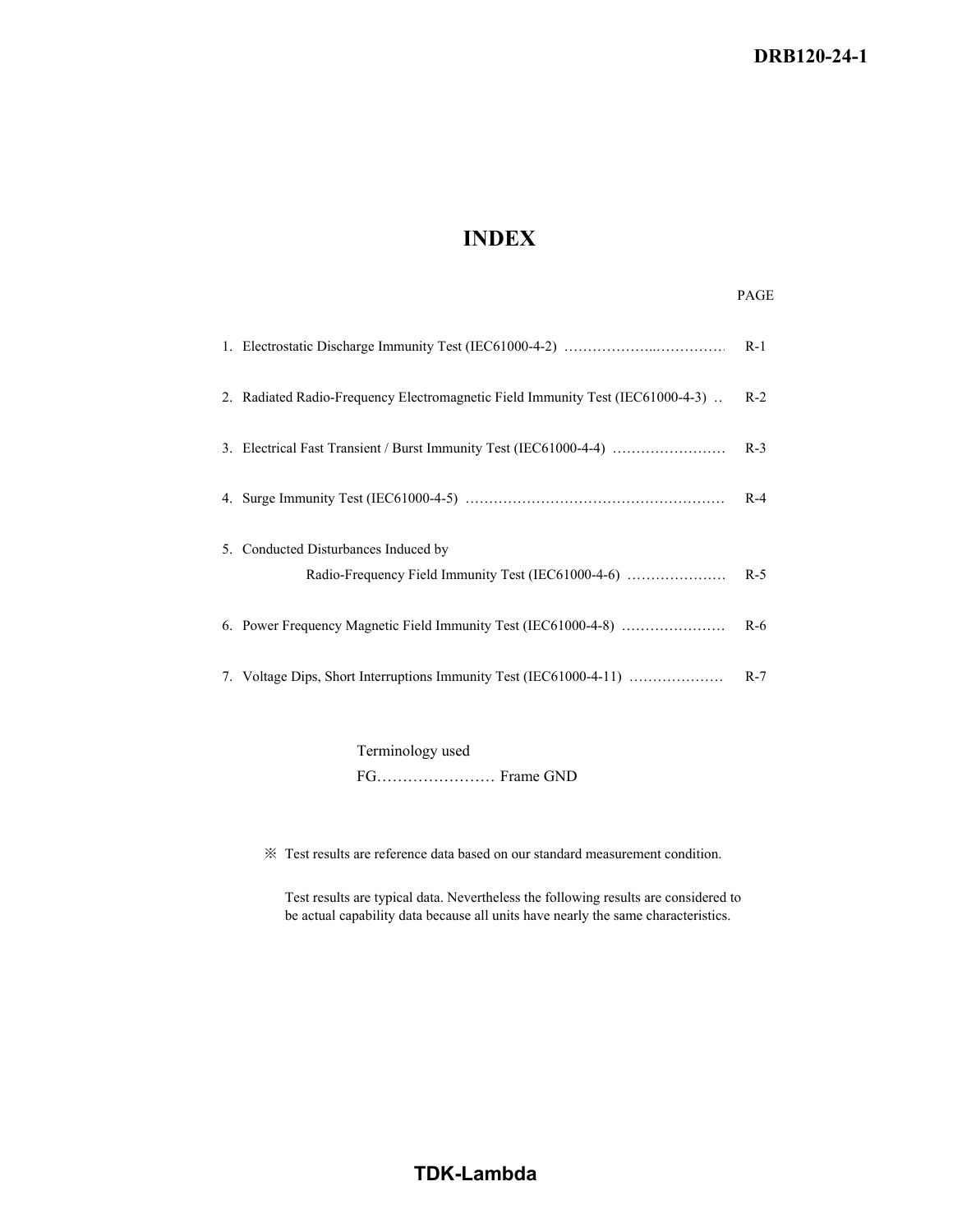## **INDEX**

## PAGE

|                                                                                            | $R-1$ |
|--------------------------------------------------------------------------------------------|-------|
| 2. Radiated Radio-Frequency Electromagnetic Field Immunity Test (IEC61000-4-3).            | $R-2$ |
|                                                                                            | $R-3$ |
|                                                                                            | $R-4$ |
| 5. Conducted Disturbances Induced by<br>Radio-Frequency Field Immunity Test (IEC61000-4-6) | $R-5$ |
|                                                                                            |       |
| 6. Power Frequency Magnetic Field Immunity Test (IEC61000-4-8)                             | $R-6$ |
| 7. Voltage Dips, Short Interruptions Immunity Test (IEC61000-4-11)                         | $R-7$ |

Terminology used FG……………………Frame GND

※ Test results are reference data based on our standard measurement condition.

Test results are typical data. Nevertheless the following results are considered to be actual capability data because all units have nearly the same characteristics.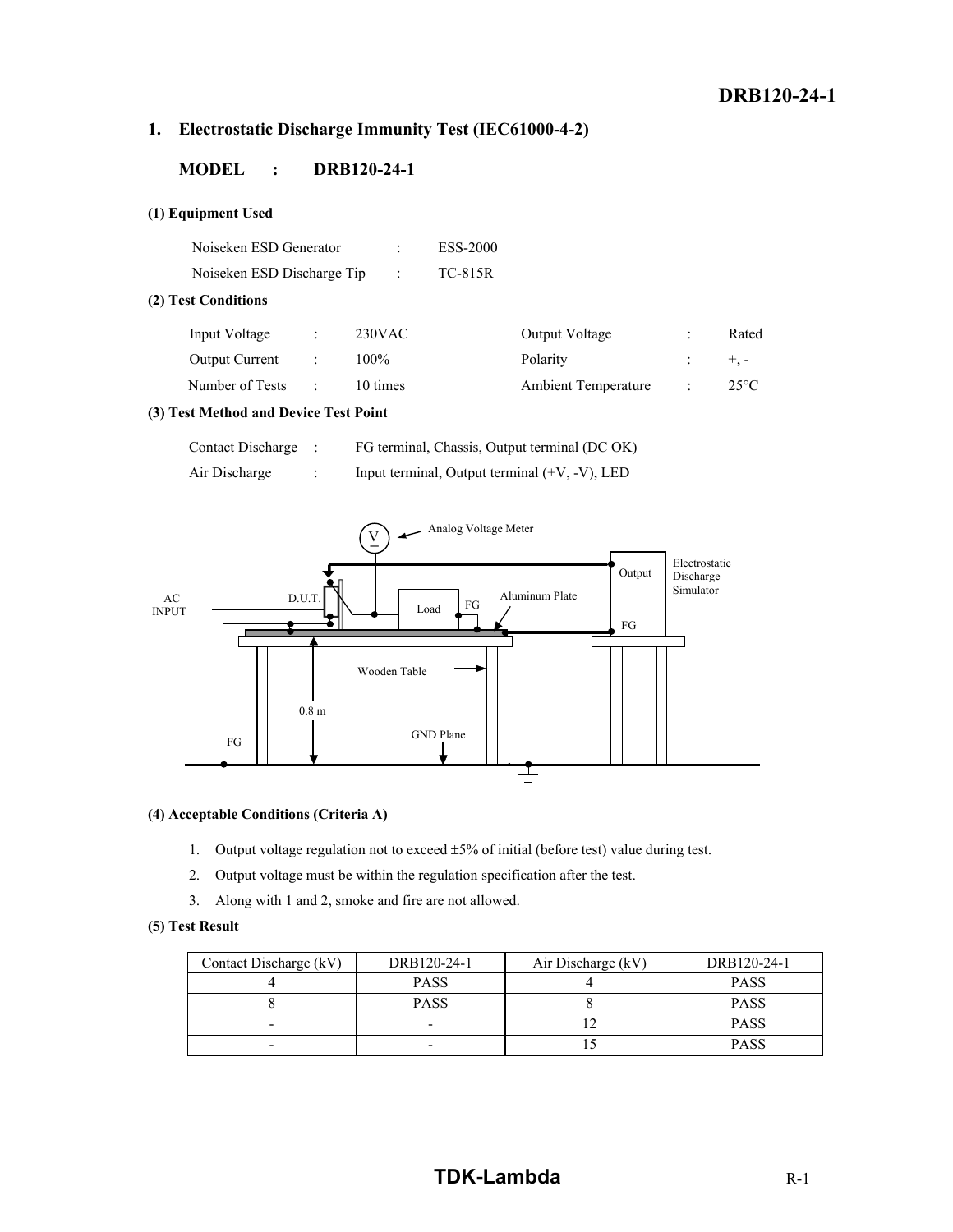## **1. Electrostatic Discharge Immunity Test (IEC61000-4-2)**

#### **MODEL : DRB120-24-1**

#### **(1) Equipment Used**

| Noiseken ESD Generator     | ESS-2000 |
|----------------------------|----------|
| Noiseken ESD Discharge Tip | TC-815R  |

#### **(2) Test Conditions**

| Input Voltage         | $230$ VAC | Output Voltage             | Rated         |
|-----------------------|-----------|----------------------------|---------------|
| <b>Output Current</b> | $100\%$   | Polarity                   | $+$ . $-$     |
| Number of Tests       | 10 times  | <b>Ambient Temperature</b> | $25^{\circ}C$ |

#### **(3) Test Method and Device Test Point**

| Contact Discharge : | FG terminal, Chassis, Output terminal (DC OK)    |
|---------------------|--------------------------------------------------|
| Air Discharge       | Input terminal, Output terminal $(+V, -V)$ , LED |



#### **(4) Acceptable Conditions (Criteria A)**

- 1. Output voltage regulation not to exceed  $\pm$  5% of initial (before test) value during test.
- 2. Output voltage must be within the regulation specification after the test.
- 3. Along with 1 and 2, smoke and fire are not allowed.

#### **(5) Test Result**

| Contact Discharge (kV) | DRB120-24-1 | Air Discharge (kV) | DRB120-24-1 |
|------------------------|-------------|--------------------|-------------|
|                        | <b>PASS</b> |                    | <b>PASS</b> |
|                        | <b>PASS</b> |                    | <b>PASS</b> |
| -                      |             |                    | <b>PASS</b> |
| -                      |             |                    | <b>PASS</b> |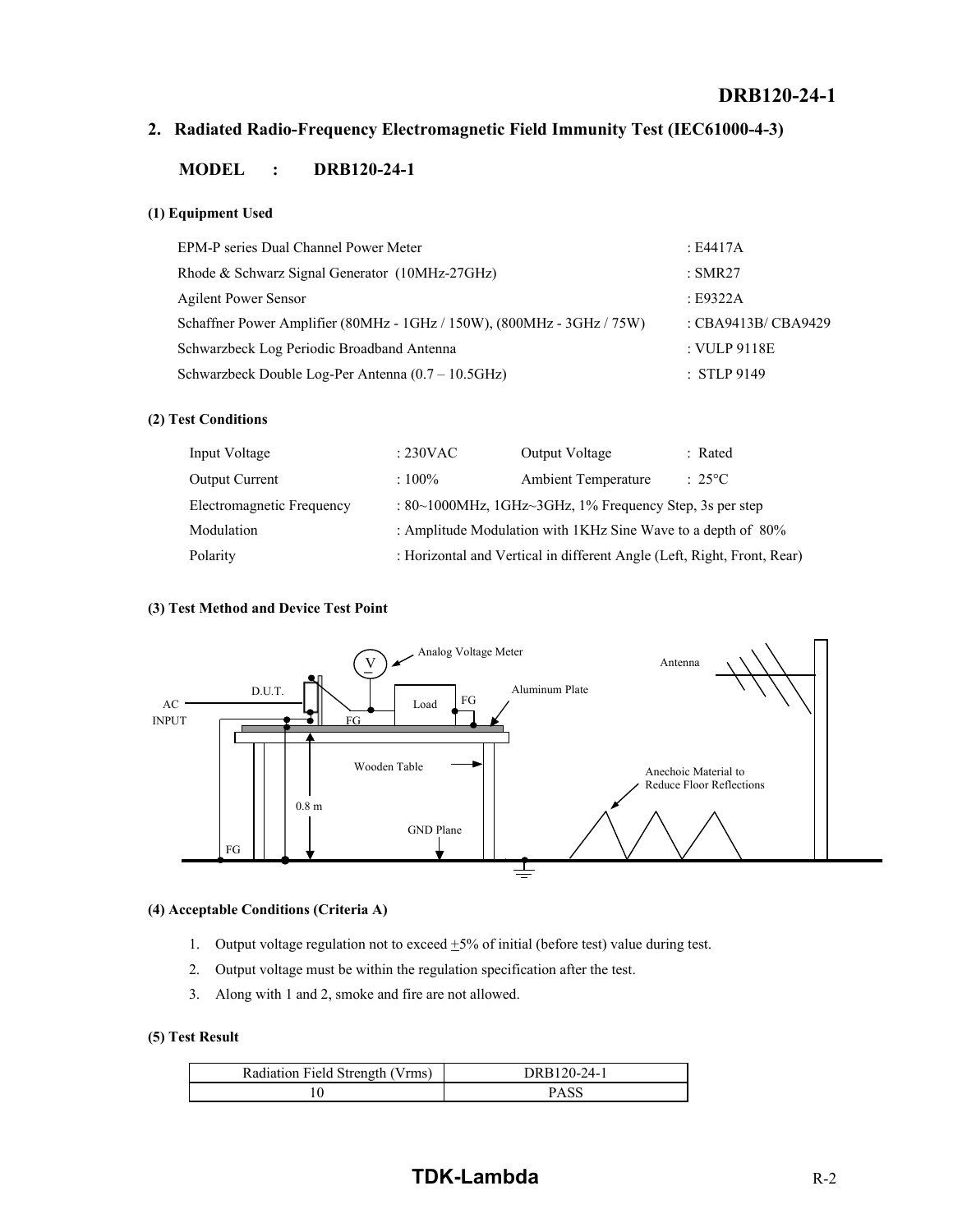## **2. Radiated Radio-Frequency Electromagnetic Field Immunity Test (IEC61000-4-3)**

#### **MODEL : DRB120-24-1**

#### **(1) Equipment Used**

| EPM-P series Dual Channel Power Meter                                  | : E4417A            |
|------------------------------------------------------------------------|---------------------|
| Rhode & Schwarz Signal Generator (10MHz-27GHz)                         | : SMR27             |
| <b>Agilent Power Sensor</b>                                            | E9322A              |
| Schaffner Power Amplifier (80MHz - 1GHz / 150W), (800MHz - 3GHz / 75W) | : CBA9413B/ CBA9429 |
| Schwarzbeck Log Periodic Broadband Antenna                             | : VULP 9118E        |
| Schwarzbeck Double Log-Per Antenna (0.7 – 10.5GHz)                     | $:$ STLP 9149       |

#### **(2) Test Conditions**

| Input Voltage             | $: 230 \text{VAC}$ | <b>Output Voltage</b>                                                   | : Rated      |
|---------------------------|--------------------|-------------------------------------------------------------------------|--------------|
| <b>Output Current</b>     | $:100\%$           | <b>Ambient Temperature</b>                                              | $\div$ 25 °C |
| Electromagnetic Frequency |                    | : $80~1000$ MHz, $1$ GHz $~3$ GHz, $1%$ Frequency Step, 3s per step     |              |
| Modulation                |                    | : Amplitude Modulation with 1KHz Sine Wave to a depth of 80%            |              |
| Polarity                  |                    | : Horizontal and Vertical in different Angle (Left, Right, Front, Rear) |              |

#### **(3) Test Method and Device Test Point**



#### **(4) Acceptable Conditions (Criteria A)**

- 1. Output voltage regulation not to exceed  $\pm$ 5% of initial (before test) value during test.
- 2. Output voltage must be within the regulation specification after the test.
- 3. Along with 1 and 2, smoke and fire are not allowed.

#### **(5) Test Result**

| Radiation Field Strength (Vrms) | DRB120-24-1 |
|---------------------------------|-------------|
|                                 | PASC        |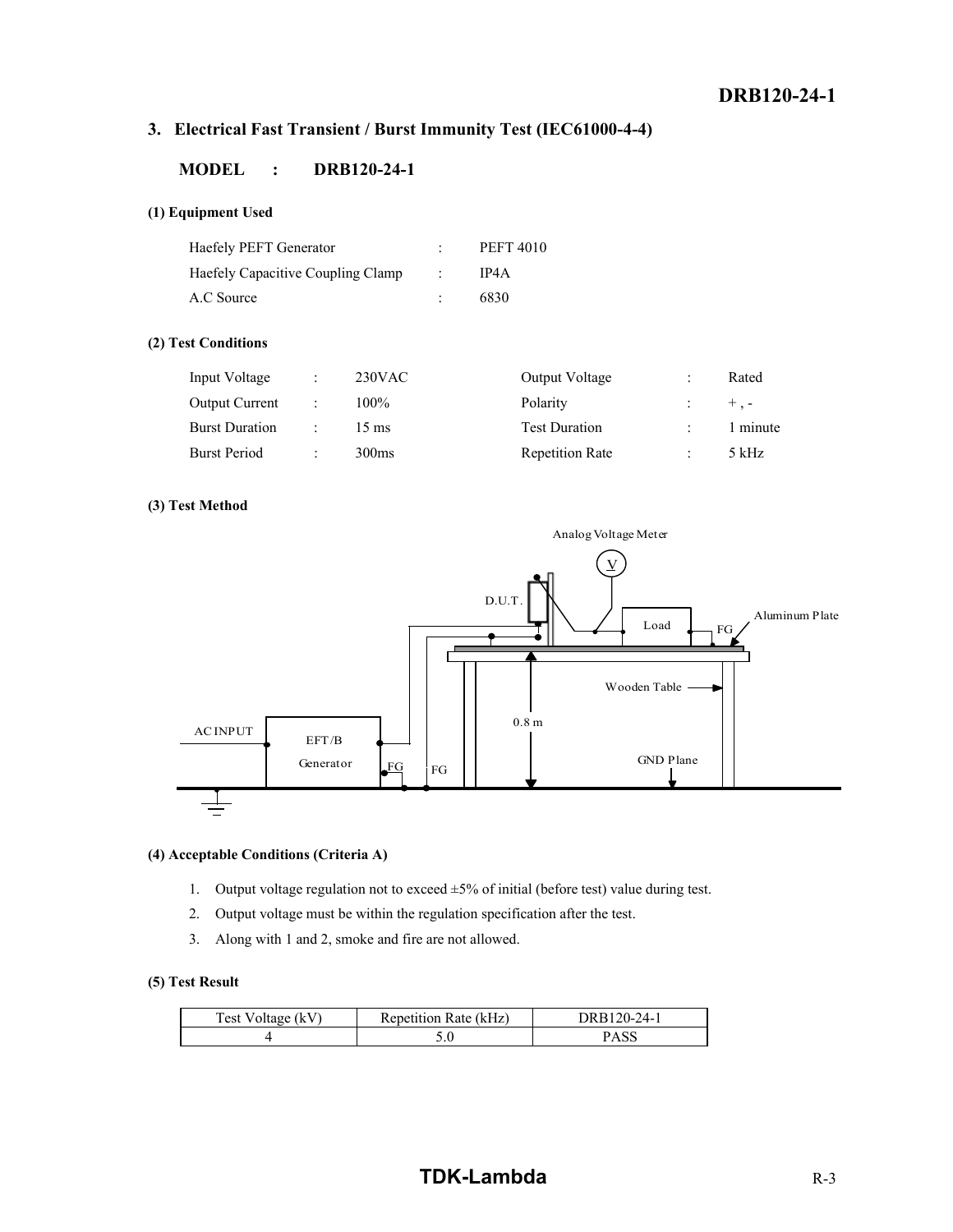## **3. Electrical Fast Transient / Burst Immunity Test (IEC61000-4-4)**

#### **MODEL : DRB120-24-1**

#### **(1) Equipment Used**

| Haefely PEFT Generator            | <b>PEFT 4010</b> |
|-----------------------------------|------------------|
| Haefely Capacitive Coupling Clamp | IP4A             |
| A.C Source                        | 6830             |

#### **(2) Test Conditions**

| Input Voltage         | $\ddot{\cdot}$       | $230$ VAC         | Output Voltage         |                      | Rated     |
|-----------------------|----------------------|-------------------|------------------------|----------------------|-----------|
| <b>Output Current</b> | $\ddot{\phantom{a}}$ | 100%              | Polarity               |                      | $+$ . $-$ |
| <b>Burst Duration</b> | $\mathcal{L}$        | $15 \text{ ms}$   | <b>Test Duration</b>   | $\cdot$              | 1 minute  |
| <b>Burst Period</b>   | $\ddot{\cdot}$       | 300 <sub>ms</sub> | <b>Repetition Rate</b> | $\ddot{\phantom{0}}$ | 5 kHz     |

#### **(3) Test Method**



#### **(4) Acceptable Conditions (Criteria A)**

- 1. Output voltage regulation not to exceed  $\pm 5\%$  of initial (before test) value during test.
- 2. Output voltage must be within the regulation specification after the test.
- 3. Along with 1 and 2, smoke and fire are not allowed.

#### **(5) Test Result**

| Test Voltage (kV) | Repetition Rate (kHz) | $20-24$ .<br>1 R H |
|-------------------|-----------------------|--------------------|
|                   | J.U                   |                    |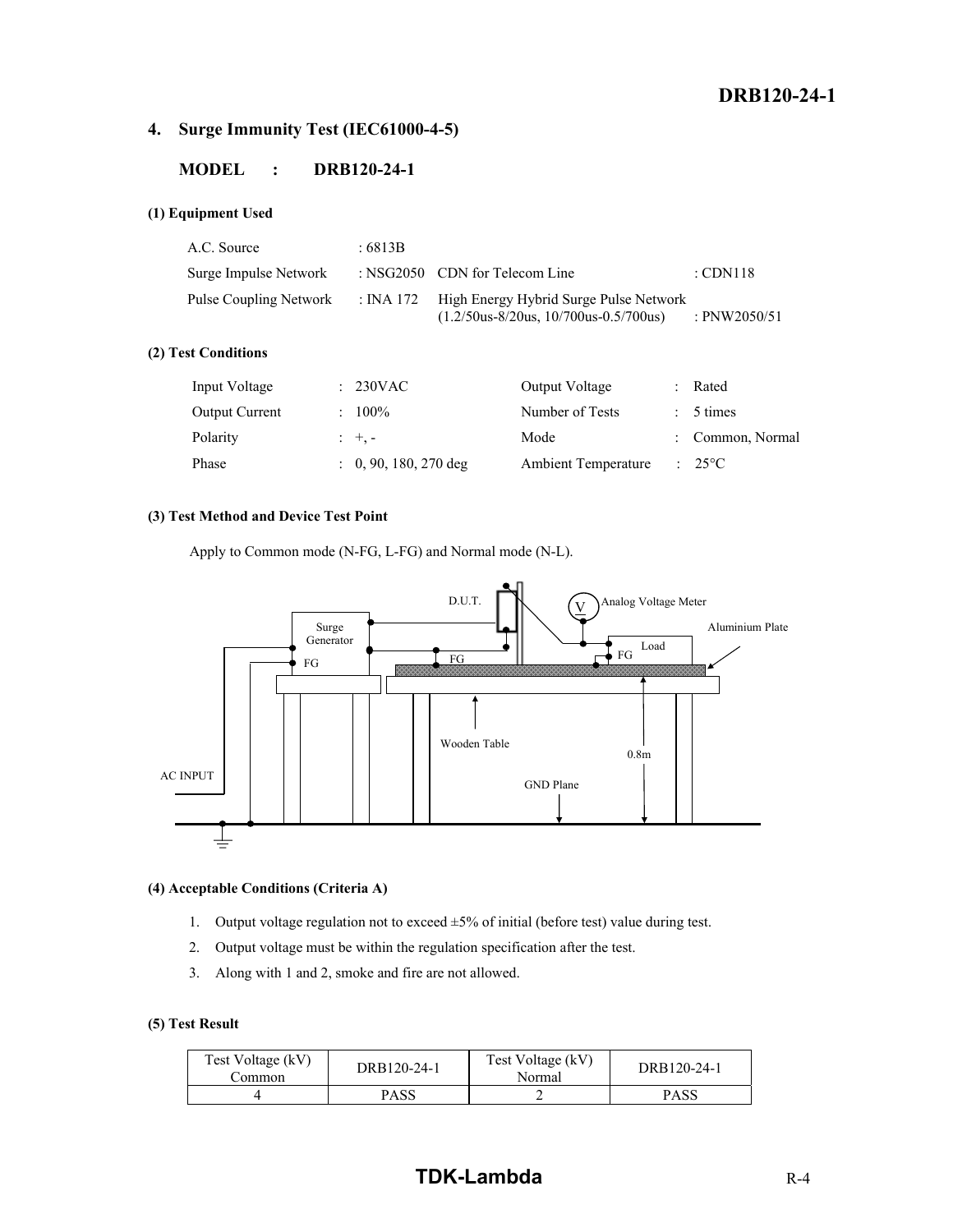## **4. Surge Immunity Test (IEC61000-4-5)**

#### **MODEL : DRB120-24-1**

#### **(1) Equipment Used**

| A.C. Source            | :6813B |                                                                                             |                     |
|------------------------|--------|---------------------------------------------------------------------------------------------|---------------------|
| Surge Impulse Network  |        | : NSG2050 CDN for Telecom Line                                                              | $\therefore$ CDN118 |
| Pulse Coupling Network |        | : INA 172 High Energy Hybrid Surge Pulse Network<br>$(1.2/50us-8/20us, 10/700us-0.5/700us)$ | : PNW2050/51        |

#### **(2) Test Conditions**

| Input Voltage         | $: 230$ VAC                      | Output Voltage             | : Rated          |
|-----------------------|----------------------------------|----------------------------|------------------|
| <b>Output Current</b> | $: 100\%$                        | Number of Tests            | $: 5 \times$     |
| Polarity              | $\pm$ $\pm$ , $\pm$              | Mode                       | : Common, Normal |
| Phase                 | $\therefore$ 0, 90, 180, 270 deg | <b>Ambient Temperature</b> | $: 25^{\circ}C$  |

#### **(3) Test Method and Device Test Point**

Apply to Common mode (N-FG, L-FG) and Normal mode (N-L).



#### **(4) Acceptable Conditions (Criteria A)**

- 1. Output voltage regulation not to exceed  $\pm 5\%$  of initial (before test) value during test.
- 2. Output voltage must be within the regulation specification after the test.
- 3. Along with 1 and 2, smoke and fire are not allowed.

#### **(5) Test Result**

| Test Voltage (kV)<br>.`ommon | DRB120-24-1 | Test Voltage (kV)<br>Normal | DRB120-24-1 |  |
|------------------------------|-------------|-----------------------------|-------------|--|
|                              | PASS        |                             | PASS        |  |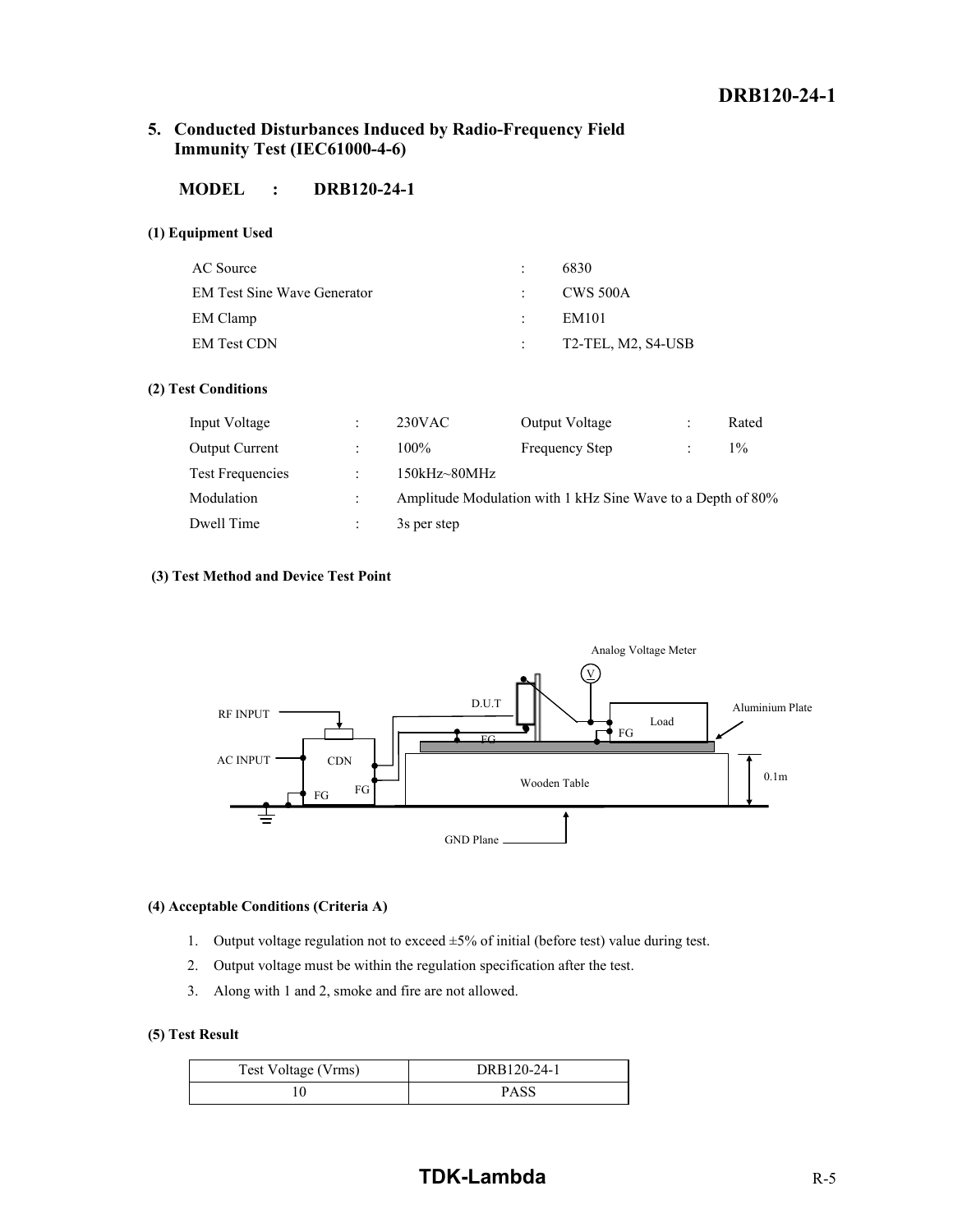#### **5. Conducted Disturbances Induced by Radio-Frequency Field Immunity Test (IEC61000-4-6)**

## **MODEL : DRB120-24-1**

#### **(1) Equipment Used**

| AC Source                          | $\mathcal{L}$ | 6830                 |
|------------------------------------|---------------|----------------------|
| <b>EM Test Sine Wave Generator</b> |               | $\sim$ CWS 500A      |
| EM Clamp                           | international | EM101                |
| EM Test CDN                        |               | $T2-TEL, M2, S4-USB$ |

#### **(2) Test Conditions**

| Input Voltage         | $\ddot{\phantom{0}}$ | $230$ VAC    | Output Voltage                                              | $\ddot{\phantom{0}}$ | Rated |
|-----------------------|----------------------|--------------|-------------------------------------------------------------|----------------------|-------|
| <b>Output Current</b> |                      | $100\%$      | <b>Frequency Step</b>                                       |                      | $1\%$ |
| Test Frequencies      | $\ddot{\phantom{a}}$ | 150kHz~80MHz |                                                             |                      |       |
| Modulation            | $\ddot{\cdot}$       |              | Amplitude Modulation with 1 kHz Sine Wave to a Depth of 80% |                      |       |
| Dwell Time            |                      | 3s per step  |                                                             |                      |       |

#### **(3) Test Method and Device Test Point**



#### **(4) Acceptable Conditions (Criteria A)**

- 1. Output voltage regulation not to exceed  $\pm 5\%$  of initial (before test) value during test.
- 2. Output voltage must be within the regulation specification after the test.
- 3. Along with 1 and 2, smoke and fire are not allowed.

#### **(5) Test Result**

| Test Voltage (Vrms) | DRB120-24-1 |
|---------------------|-------------|
|                     | PASS        |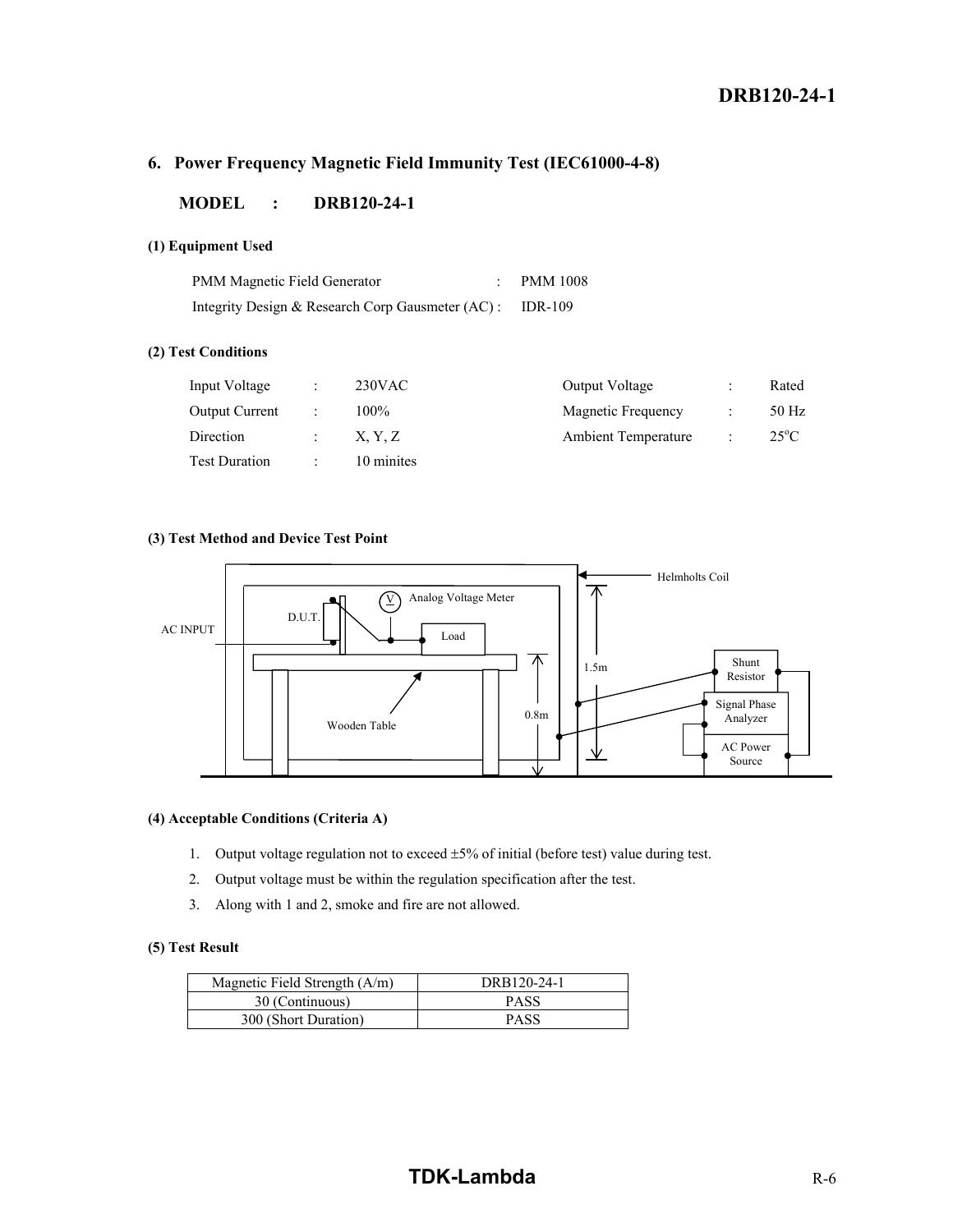#### **6. Power Frequency Magnetic Field Immunity Test (IEC61000-4-8)**

#### **MODEL : DRB120-24-1**

#### **(1) Equipment Used**

| PMM Magnetic Field Generator                             | <b>PMM 1008</b> |
|----------------------------------------------------------|-----------------|
| Integrity Design & Research Corp Gausmeter (AC): IDR-109 |                 |

#### **(2) Test Conditions**

| Input Voltage         | $\ddot{\phantom{a}}$ | $230$ VAC  | Output Voltage             | Rated          |
|-----------------------|----------------------|------------|----------------------------|----------------|
| <b>Output Current</b> |                      | $100\%$    | Magnetic Frequency         | 50 Hz          |
| <b>Direction</b>      | $\mathcal{L}$        | X. Y. Z    | <b>Ambient Temperature</b> | $25^{\circ}$ C |
| <b>Test Duration</b>  |                      | 10 minites |                            |                |

#### **(3) Test Method and Device Test Point**



#### **(4) Acceptable Conditions (Criteria A)**

- 1. Output voltage regulation not to exceed  $\pm 5\%$  of initial (before test) value during test.
- 2. Output voltage must be within the regulation specification after the test.
- 3. Along with 1 and 2, smoke and fire are not allowed.

#### **(5) Test Result**

| Magnetic Field Strength $(A/m)$ | DRB120-24-1 |
|---------------------------------|-------------|
| 30 (Continuous)                 | <b>PASS</b> |
| 300 (Short Duration)            | <b>PASS</b> |